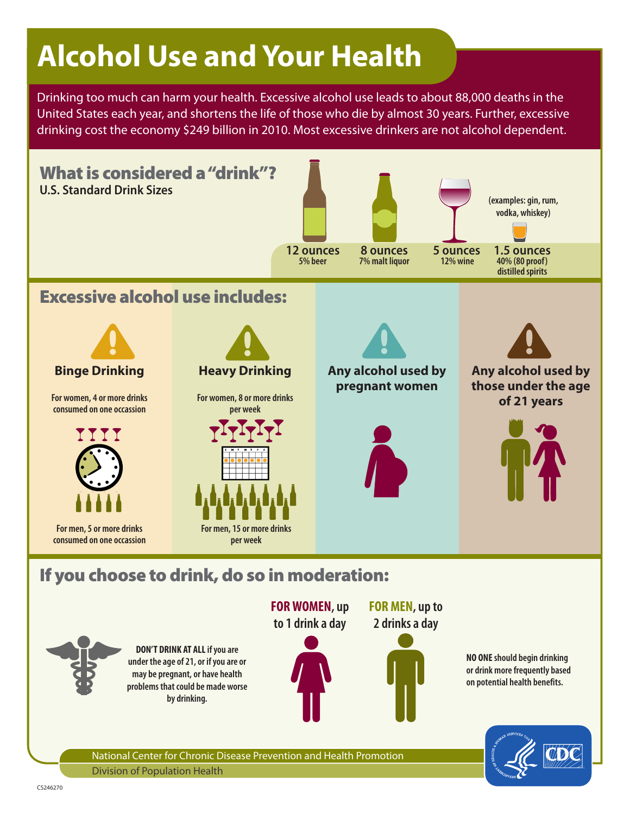# **Alcohol Use and Your Health**

Drinking too much can harm your health. Excessive alcohol use leads to about 88,000 deaths in the United States each year, and shortens the life of those who die by almost 30 years. Further, excessive drinking cost the economy \$249 billion in 2010. Most excessive drinkers are not alcohol dependent.